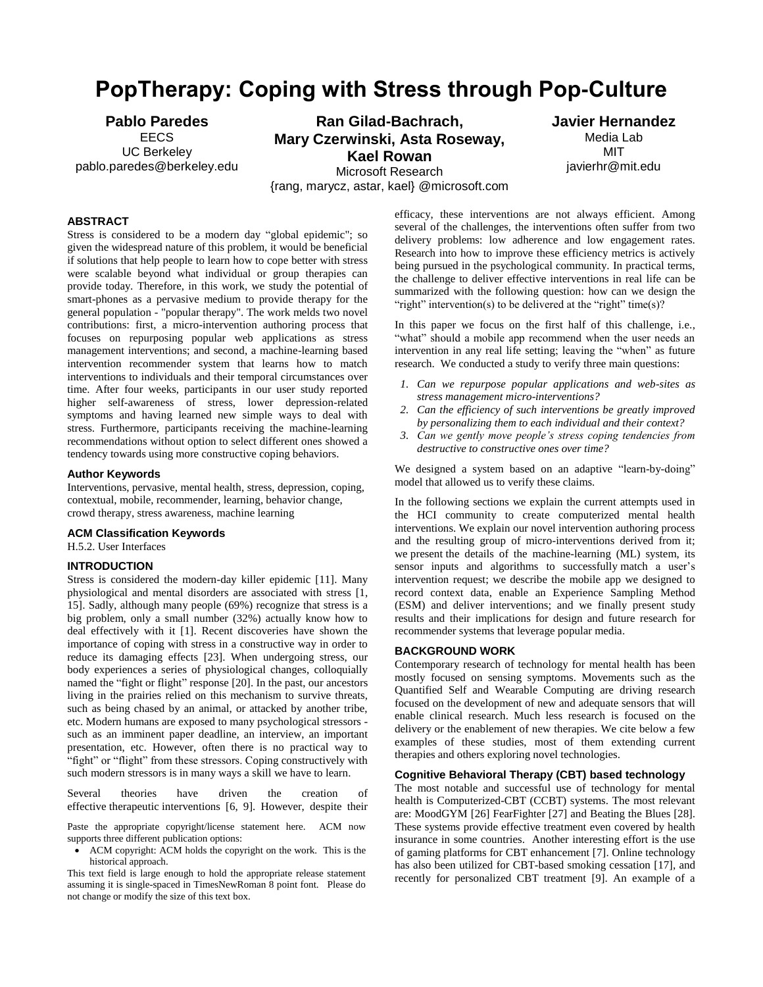# **PopTherapy: Coping with Stress through Pop-Culture**

**Pablo Paredes** EECS UC Berkeley pablo.paredes@berkeley.edu

**Ran Gilad-Bachrach, Mary Czerwinski, Asta Roseway, Kael Rowan**

**Javier Hernandez** Media Lab MIT javierhr@mit.edu

# Microsoft Research {rang, marycz, astar, kael} @microsoft.com

# **ABSTRACT**

Stress is considered to be a modern day "global epidemic"; so given the widespread nature of this problem, it would be beneficial if solutions that help people to learn how to cope better with stress were scalable beyond what individual or group therapies can provide today. Therefore, in this work, we study the potential of smart-phones as a pervasive medium to provide therapy for the general population - "popular therapy". The work melds two novel contributions: first, a micro-intervention authoring process that focuses on repurposing popular web applications as stress management interventions; and second, a machine-learning based intervention recommender system that learns how to match interventions to individuals and their temporal circumstances over time. After four weeks, participants in our user study reported higher self-awareness of stress, lower depression-related symptoms and having learned new simple ways to deal with stress. Furthermore, participants receiving the machine-learning recommendations without option to select different ones showed a tendency towards using more constructive coping behaviors.

# **Author Keywords**

Interventions, pervasive, mental health, stress, depression, coping, contextual, mobile, recommender, learning, behavior change, crowd therapy, stress awareness, machine learning

# **ACM Classification Keywords**

H.5.2. User Interfaces

#### **INTRODUCTION**

Stress is considered the modern-day killer epidemic [11]. Many physiological and mental disorders are associated with stress [1, 15]. Sadly, although many people (69%) recognize that stress is a big problem, only a small number (32%) actually know how to deal effectively with it [1]. Recent discoveries have shown the importance of coping with stress in a constructive way in order to reduce its damaging effects [23]. When undergoing stress, our body experiences a series of physiological changes, colloquially named the "fight or flight" response [20]. In the past, our ancestors living in the prairies relied on this mechanism to survive threats, such as being chased by an animal, or attacked by another tribe, etc. Modern humans are exposed to many psychological stressors such as an imminent paper deadline, an interview, an important presentation, etc. However, often there is no practical way to "fight" or "flight" from these stressors. Coping constructively with such modern stressors is in many ways a skill we have to learn.

Several theories have driven the creation of effective therapeutic interventions [6, 9]. However, despite their

Paste the appropriate copyright/license statement here. ACM now supports three different publication options:

 ACM copyright: ACM holds the copyright on the work. This is the historical approach.

This text field is large enough to hold the appropriate release statement assuming it is single-spaced in TimesNewRoman 8 point font. Please do not change or modify the size of this text box.

efficacy, these interventions are not always efficient. Among several of the challenges, the interventions often suffer from two delivery problems: low adherence and low engagement rates. Research into how to improve these efficiency metrics is actively being pursued in the psychological community. In practical terms, the challenge to deliver effective interventions in real life can be summarized with the following question: how can we design the "right" intervention(s) to be delivered at the "right" time(s)?

In this paper we focus on the first half of this challenge, i.e., "what" should a mobile app recommend when the user needs an intervention in any real life setting; leaving the "when" as future research. We conducted a study to verify three main questions:

- *1. Can we repurpose popular applications and web-sites as stress management micro-interventions?*
- *2. Can the efficiency of such interventions be greatly improved by personalizing them to each individual and their context?*
- *3. Can we gently move people's stress coping tendencies from destructive to constructive ones over time?*

We designed a system based on an adaptive "learn-by-doing" model that allowed us to verify these claims.

In the following sections we explain the current attempts used in the HCI community to create computerized mental health interventions. We explain our novel intervention authoring process and the resulting group of micro-interventions derived from it; we present the details of the machine-learning (ML) system, its sensor inputs and algorithms to successfully match a user's intervention request; we describe the mobile app we designed to record context data, enable an Experience Sampling Method (ESM) and deliver interventions; and we finally present study results and their implications for design and future research for recommender systems that leverage popular media.

# **BACKGROUND WORK**

Contemporary research of technology for mental health has been mostly focused on sensing symptoms. Movements such as the Quantified Self and Wearable Computing are driving research focused on the development of new and adequate sensors that will enable clinical research. Much less research is focused on the delivery or the enablement of new therapies. We cite below a few examples of these studies, most of them extending current therapies and others exploring novel technologies.

# **Cognitive Behavioral Therapy (CBT) based technology**

The most notable and successful use of technology for mental health is Computerized-CBT (CCBT) systems. The most relevant are: MoodGYM [26] FearFighter [27] and Beating the Blues [28]. These systems provide effective treatment even covered by health insurance in some countries. Another interesting effort is the use of gaming platforms for CBT enhancement [7]. Online technology has also been utilized for CBT-based smoking cessation [17], and recently for personalized CBT treatment [9]. An example of a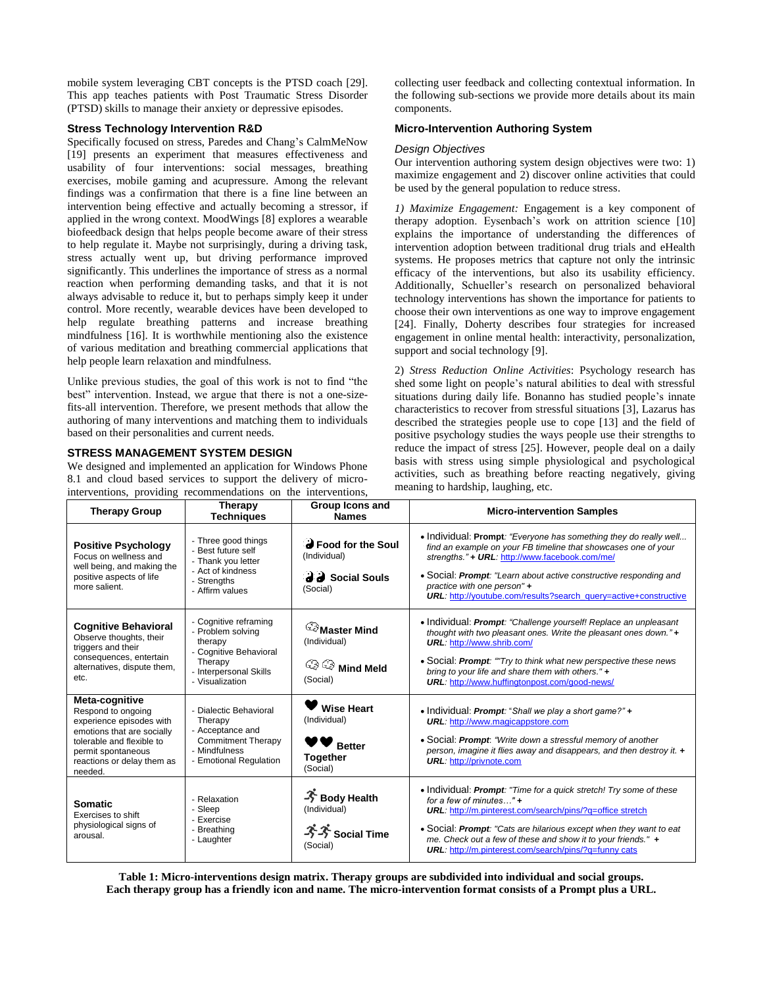mobile system leveraging CBT concepts is the PTSD coach [29]. This app teaches patients with Post Traumatic Stress Disorder (PTSD) skills to manage their anxiety or depressive episodes.

# **Stress Technology Intervention R&D**

Specifically focused on stress, Paredes and Chang's CalmMeNow [19] presents an experiment that measures effectiveness and usability of four interventions: social messages, breathing exercises, mobile gaming and acupressure. Among the relevant findings was a confirmation that there is a fine line between an intervention being effective and actually becoming a stressor, if applied in the wrong context. MoodWings [8] explores a wearable biofeedback design that helps people become aware of their stress to help regulate it. Maybe not surprisingly, during a driving task, stress actually went up, but driving performance improved significantly. This underlines the importance of stress as a normal reaction when performing demanding tasks, and that it is not always advisable to reduce it, but to perhaps simply keep it under control. More recently, wearable devices have been developed to help regulate breathing patterns and increase breathing mindfulness [16]. It is worthwhile mentioning also the existence of various meditation and breathing commercial applications that help people learn relaxation and mindfulness.

Unlike previous studies, the goal of this work is not to find "the best" intervention. Instead, we argue that there is not a one-sizefits-all intervention. Therefore, we present methods that allow the authoring of many interventions and matching them to individuals based on their personalities and current needs.

# **STRESS MANAGEMENT SYSTEM DESIGN**

We designed and implemented an application for Windows Phone 8.1 and cloud based services to support the delivery of microinterventions, providing recommendations on the interventions, collecting user feedback and collecting contextual information. In the following sub-sections we provide more details about its main components.

# **Micro-Intervention Authoring System**

#### *Design Objectives*

Our intervention authoring system design objectives were two: 1) maximize engagement and 2) discover online activities that could be used by the general population to reduce stress.

*1) Maximize Engagement:* Engagement is a key component of therapy adoption. Eysenbach's work on attrition science [10] explains the importance of understanding the differences of intervention adoption between traditional drug trials and eHealth systems. He proposes metrics that capture not only the intrinsic efficacy of the interventions, but also its usability efficiency. Additionally, Schueller's research on personalized behavioral technology interventions has shown the importance for patients to choose their own interventions as one way to improve engagement [24]. Finally, Doherty describes four strategies for increased engagement in online mental health: interactivity, personalization, support and social technology [9].

2) *Stress Reduction Online Activities*: Psychology research has shed some light on people's natural abilities to deal with stressful situations during daily life. Bonanno has studied people's innate characteristics to recover from stressful situations [3], Lazarus has described the strategies people use to cope [13] and the field of positive psychology studies the ways people use their strengths to reduce the impact of stress [25]. However, people deal on a daily basis with stress using simple physiological and psychological activities, such as breathing before reacting negatively, giving meaning to hardship, laughing, etc.

| <b>Therapy Group</b>                                                                                                                                                                       | Therapy<br><b>Techniques</b>                                                                                                            | Group Icons and<br><b>Names</b>                                                      | <b>Micro-intervention Samples</b>                                                                                                                                                                                                                                                                                                                                                           |
|--------------------------------------------------------------------------------------------------------------------------------------------------------------------------------------------|-----------------------------------------------------------------------------------------------------------------------------------------|--------------------------------------------------------------------------------------|---------------------------------------------------------------------------------------------------------------------------------------------------------------------------------------------------------------------------------------------------------------------------------------------------------------------------------------------------------------------------------------------|
| <b>Positive Psychology</b><br>Focus on wellness and<br>well being, and making the<br>positive aspects of life<br>more salient.                                                             | - Three good things<br>- Best future self<br>- Thank you letter<br>- Act of kindness<br>- Strenaths<br>- Affirm values                  | <b>B</b> Food for the Soul<br>(Individual)<br>d d Social Souls<br>(Social)           | • Individual: Prompt: "Everyone has something they do really well<br>find an example on your FB timeline that showcases one of your<br>strengths." + URL: http://www.facebook.com/me/<br>• Social: <b>Prompt</b> : "Learn about active constructive responding and<br>practice with one person" +<br>URL: http://youtube.com/results?search_query=active+constructive                       |
| <b>Cognitive Behavioral</b><br>Observe thoughts, their<br>triggers and their<br>consequences, entertain<br>alternatives, dispute them,<br>etc.                                             | - Cognitive reframing<br>- Problem solving<br>therapy<br>- Cognitive Behavioral<br>Therapy<br>- Interpersonal Skills<br>- Visualization | Master Mind<br>(Individual)<br>$\mathbb{Q} \otimes \mathbb{N}$ Mind Meld<br>(Social) | • Individual: <b>Prompt</b> : "Challenge yourself! Replace an unpleasant<br>thought with two pleasant ones. Write the pleasant ones down." $+$<br><b>URL:</b> http://www.shrib.com/<br>• Social: Prompt: ""Try to think what new perspective these news<br>bring to your life and share them with others." +<br><b>URL:</b> http://www.huffingtonpost.com/good-news/                        |
| Meta-cognitive<br>Respond to ongoing<br>experience episodes with<br>emotions that are socially<br>tolerable and flexible to<br>permit spontaneous<br>reactions or delay them as<br>needed. | - Dialectic Behavioral<br>Therapy<br>- Acceptance and<br><b>Commitment Therapy</b><br>- Mindfulness<br>- Emotional Regulation           | <b>Wise Heart</b><br>(Individual)<br><b>Better</b><br><b>Together</b><br>(Social)    | • Individual: Prompt: "Shall we play a short game?" +<br><b>URL:</b> http://www.magicappstore.com<br>• Social: <b>Prompt</b> : "Write down a stressful memory of another<br>person, imagine it flies away and disappears, and then destroy it. +<br><b>URL:</b> http://privnote.com                                                                                                         |
| <b>Somatic</b><br>Exercises to shift<br>physiological signs of<br>arousal.                                                                                                                 | - Relaxation<br>- Sleep<br>- Exercise<br>- Breathing<br>- Laughter                                                                      | → Body Health<br>(Individual)<br>$\rightarrow$ $\rightarrow$ Social Time<br>(Social) | • Individual: Prompt: "Time for a quick stretch! Try some of these<br>for a few of minutes $\ldots$ " +<br><b>URL:</b> http://m.pinterest.com/search/pins/?q=office stretch<br>• Social: <b>Prompt</b> : "Cats are hilarious except when they want to eat<br>me. Check out a few of these and show it to your friends." $+$<br><b>URL:</b> http://m.pinterest.com/search/pins/?q=funny cats |

**Table 1: Micro-interventions design matrix. Therapy groups are subdivided into individual and social groups. Each therapy group has a friendly icon and name. The micro-intervention format consists of a Prompt plus a URL.**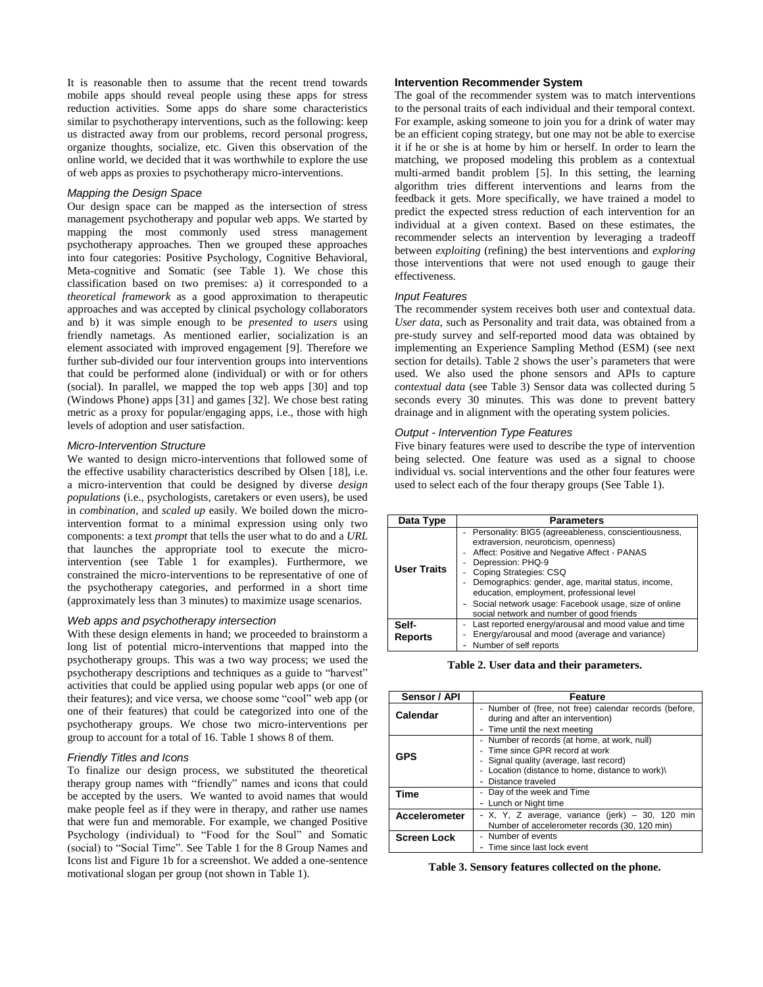It is reasonable then to assume that the recent trend towards mobile apps should reveal people using these apps for stress reduction activities. Some apps do share some characteristics similar to psychotherapy interventions, such as the following: keep us distracted away from our problems, record personal progress, organize thoughts, socialize, etc. Given this observation of the online world, we decided that it was worthwhile to explore the use of web apps as proxies to psychotherapy micro-interventions.

# *Mapping the Design Space*

Our design space can be mapped as the intersection of stress management psychotherapy and popular web apps. We started by mapping the most commonly used stress management psychotherapy approaches. Then we grouped these approaches into four categories: Positive Psychology, Cognitive Behavioral, Meta-cognitive and Somatic (see Table 1). We chose this classification based on two premises: a) it corresponded to a *theoretical framework* as a good approximation to therapeutic approaches and was accepted by clinical psychology collaborators and b) it was simple enough to be *presented to users* using friendly nametags. As mentioned earlier, socialization is an element associated with improved engagement [9]. Therefore we further sub-divided our four intervention groups into interventions that could be performed alone (individual) or with or for others (social). In parallel, we mapped the top web apps [30] and top (Windows Phone) apps [31] and games [32]. We chose best rating metric as a proxy for popular/engaging apps, i.e., those with high levels of adoption and user satisfaction.

# *Micro-Intervention Structure*

We wanted to design micro-interventions that followed some of the effective usability characteristics described by Olsen [18], i.e. a micro-intervention that could be designed by diverse *design populations* (i.e., psychologists, caretakers or even users), be used in *combination,* and *scaled up* easily. We boiled down the microintervention format to a minimal expression using only two components: a text *prompt* that tells the user what to do and a *URL* that launches the appropriate tool to execute the microintervention (see Table 1 for examples). Furthermore, we constrained the micro-interventions to be representative of one of the psychotherapy categories, and performed in a short time (approximately less than 3 minutes) to maximize usage scenarios.

# *Web apps and psychotherapy intersection*

With these design elements in hand; we proceeded to brainstorm a long list of potential micro-interventions that mapped into the psychotherapy groups. This was a two way process; we used the psychotherapy descriptions and techniques as a guide to "harvest" activities that could be applied using popular web apps (or one of their features); and vice versa, we choose some "cool" web app (or one of their features) that could be categorized into one of the psychotherapy groups. We chose two micro-interventions per group to account for a total of 16. Table 1 shows 8 of them.

## *Friendly Titles and Icons*

To finalize our design process, we substituted the theoretical therapy group names with "friendly" names and icons that could be accepted by the users. We wanted to avoid names that would make people feel as if they were in therapy, and rather use names that were fun and memorable. For example, we changed Positive Psychology (individual) to "Food for the Soul" and Somatic (social) to "Social Time". See Table 1 for the 8 Group Names and Icons list and Figure 1b for a screenshot. We added a one-sentence motivational slogan per group (not shown in Table 1).

# **Intervention Recommender System**

The goal of the recommender system was to match interventions to the personal traits of each individual and their temporal context. For example, asking someone to join you for a drink of water may be an efficient coping strategy, but one may not be able to exercise it if he or she is at home by him or herself. In order to learn the matching, we proposed modeling this problem as a contextual multi-armed bandit problem [5]. In this setting, the learning algorithm tries different interventions and learns from the feedback it gets. More specifically, we have trained a model to predict the expected stress reduction of each intervention for an individual at a given context. Based on these estimates, the recommender selects an intervention by leveraging a tradeoff between *exploiting* (refining) the best interventions and *exploring* those interventions that were not used enough to gauge their effectiveness.

# *Input Features*

The recommender system receives both user and contextual data. *User data*, such as Personality and trait data, was obtained from a pre-study survey and self-reported mood data was obtained by implementing an Experience Sampling Method (ESM) (see next section for details). Table 2 shows the user's parameters that were used. We also used the phone sensors and APIs to capture *contextual data* (see Table 3) Sensor data was collected during 5 seconds every 30 minutes. This was done to prevent battery drainage and in alignment with the operating system policies.

# *Output - Intervention Type Features*

Five binary features were used to describe the type of intervention being selected. One feature was used as a signal to choose individual vs. social interventions and the other four features were used to select each of the four therapy groups (See Table 1).

| Data Type               | <b>Parameters</b>                                                                                                                                                                                                                                                                                                                                                                                       |  |  |
|-------------------------|---------------------------------------------------------------------------------------------------------------------------------------------------------------------------------------------------------------------------------------------------------------------------------------------------------------------------------------------------------------------------------------------------------|--|--|
| <b>User Traits</b>      | - Personality: BIG5 (agreeableness, conscientiousness,<br>extraversion, neuroticism, openness)<br>Affect: Positive and Negative Affect - PANAS<br>Depression: PHQ-9<br>Coping Strategies: CSQ<br>Demographics: gender, age, marital status, income,<br>education, employment, professional level<br>- Social network usage: Facebook usage, size of online<br>social network and number of good friends |  |  |
| Self-<br><b>Reports</b> | Last reported energy/arousal and mood value and time<br>Energy/arousal and mood (average and variance)<br>Number of self reports                                                                                                                                                                                                                                                                        |  |  |

**Table 2. User data and their parameters.**

| Sensor / API       | Feature                                                                                                                                                                                           |  |
|--------------------|---------------------------------------------------------------------------------------------------------------------------------------------------------------------------------------------------|--|
| Calendar           | - Number of (free, not free) calendar records (before,<br>during and after an intervention)<br>- Time until the next meeting                                                                      |  |
| <b>GPS</b>         | - Number of records (at home, at work, null)<br>- Time since GPR record at work<br>- Signal quality (average, last record)<br>Location (distance to home, distance to work)\<br>Distance traveled |  |
| Time               | Day of the week and Time<br>- Lunch or Night time                                                                                                                                                 |  |
| Accelerometer      | - X, Y, Z average, variance (jerk) – 30, 120 min<br>Number of accelerometer records (30, 120 min)                                                                                                 |  |
| <b>Screen Lock</b> | Number of events<br>- Time since last lock event                                                                                                                                                  |  |

**Table 3. Sensory features collected on the phone.**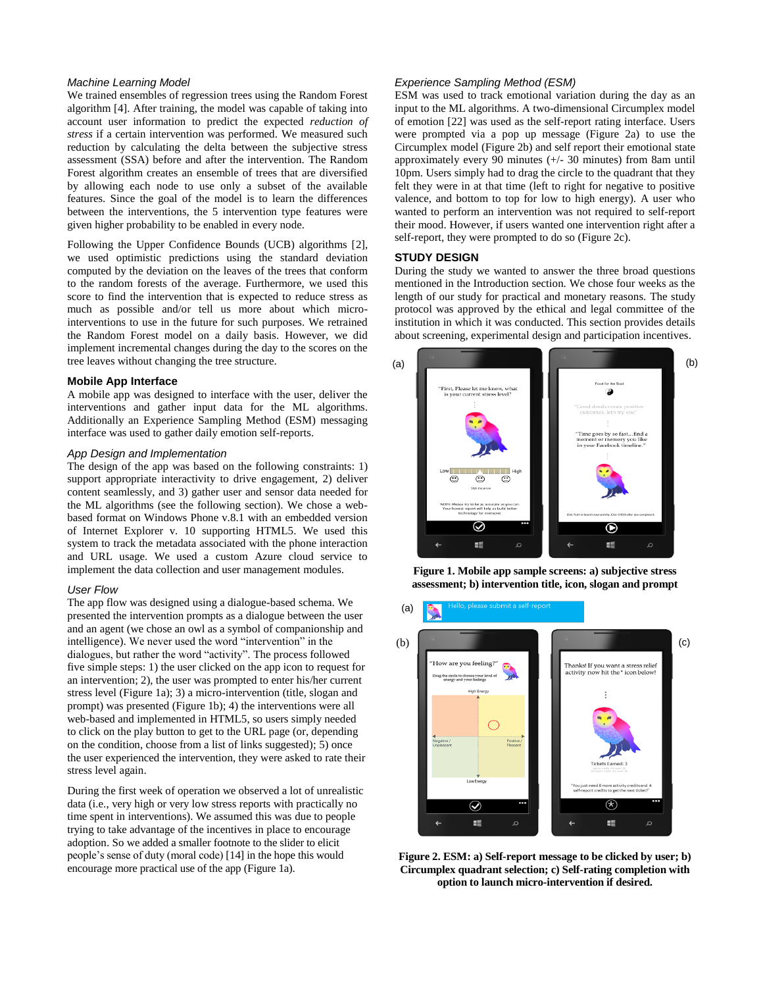# *Machine Learning Model*

We trained ensembles of regression trees using the Random Forest algorithm [4]. After training, the model was capable of taking into account user information to predict the expected *reduction of stress* if a certain intervention was performed. We measured such reduction by calculating the delta between the subjective stress assessment (SSA) before and after the intervention. The Random Forest algorithm creates an ensemble of trees that are diversified by allowing each node to use only a subset of the available features. Since the goal of the model is to learn the differences between the interventions, the 5 intervention type features were given higher probability to be enabled in every node.

Following the Upper Confidence Bounds (UCB) algorithms [2], we used optimistic predictions using the standard deviation computed by the deviation on the leaves of the trees that conform to the random forests of the average. Furthermore, we used this score to find the intervention that is expected to reduce stress as much as possible and/or tell us more about which microinterventions to use in the future for such purposes. We retrained the Random Forest model on a daily basis. However, we did implement incremental changes during the day to the scores on the tree leaves without changing the tree structure.

# **Mobile App Interface**

A mobile app was designed to interface with the user, deliver the interventions and gather input data for the ML algorithms. Additionally an Experience Sampling Method (ESM) messaging interface was used to gather daily emotion self-reports.

# *App Design and Implementation*

The design of the app was based on the following constraints: 1) support appropriate interactivity to drive engagement, 2) deliver content seamlessly, and 3) gather user and sensor data needed for the ML algorithms (see the following section). We chose a webbased format on Windows Phone v.8.1 with an embedded version of Internet Explorer v. 10 supporting HTML5. We used this system to track the metadata associated with the phone interaction and URL usage. We used a custom Azure cloud service to implement the data collection and user management modules.

# *User Flow*

The app flow was designed using a dialogue-based schema. We presented the intervention prompts as a dialogue between the user and an agent (we chose an owl as a symbol of companionship and intelligence). We never used the word "intervention" in the dialogues, but rather the word "activity". The process followed five simple steps: 1) the user clicked on the app icon to request for an intervention; 2), the user was prompted to enter his/her current stress level (Figure 1a); 3) a micro-intervention (title, slogan and prompt) was presented (Figure 1b); 4) the interventions were all web-based and implemented in HTML5, so users simply needed to click on the play button to get to the URL page (or, depending on the condition, choose from a list of links suggested); 5) once the user experienced the intervention, they were asked to rate their stress level again.

During the first week of operation we observed a lot of unrealistic data (i.e., very high or very low stress reports with practically no time spent in interventions). We assumed this was due to people trying to take advantage of the incentives in place to encourage adoption. So we added a smaller footnote to the slider to elicit people's sense of duty (moral code) [14] in the hope this would encourage more practical use of the app (Figure 1a).

# *Experience Sampling Method (ESM)*

ESM was used to track emotional variation during the day as an input to the ML algorithms. A two-dimensional Circumplex model of emotion [22] was used as the self-report rating interface. Users were prompted via a pop up message (Figure 2a) to use the Circumplex model (Figure 2b) and self report their emotional state approximately every 90 minutes (+/- 30 minutes) from 8am until 10pm. Users simply had to drag the circle to the quadrant that they felt they were in at that time (left to right for negative to positive valence, and bottom to top for low to high energy). A user who wanted to perform an intervention was not required to self-report their mood. However, if users wanted one intervention right after a self-report, they were prompted to do so (Figure 2c).

# **STUDY DESIGN**

During the study we wanted to answer the three broad questions mentioned in the Introduction section. We chose four weeks as the length of our study for practical and monetary reasons. The study protocol was approved by the ethical and legal committee of the institution in which it was conducted. This section provides details about screening, experimental design and participation incentives.



**Figure 1. Mobile app sample screens: a) subjective stress assessment; b) intervention title, icon, slogan and prompt**



**Figure 2. ESM: a) Self-report message to be clicked by user; b) Circumplex quadrant selection; c) Self-rating completion with option to launch micro-intervention if desired.**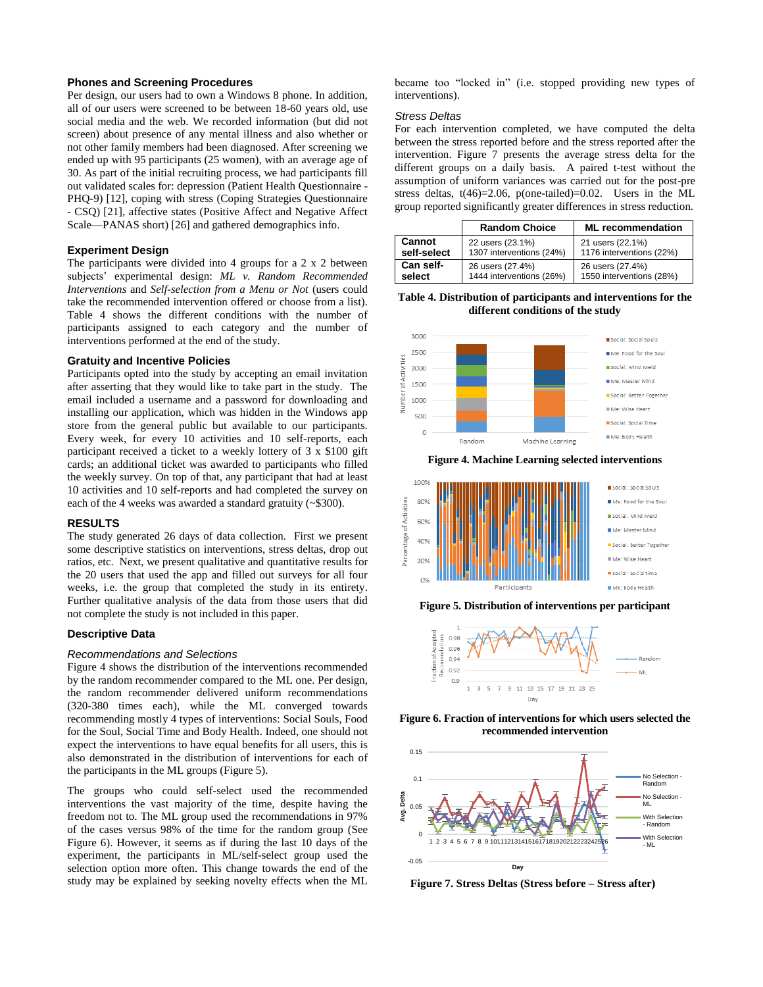# **Phones and Screening Procedures**

Per design, our users had to own a Windows 8 phone. In addition, all of our users were screened to be between 18-60 years old, use social media and the web. We recorded information (but did not screen) about presence of any mental illness and also whether or not other family members had been diagnosed. After screening we ended up with 95 participants (25 women), with an average age of 30. As part of the initial recruiting process, we had participants fill out validated scales for: depression (Patient Health Questionnaire - PHQ-9) [12], coping with stress (Coping Strategies Questionnaire - CSQ) [21], affective states (Positive Affect and Negative Affect Scale—PANAS short) [26] and gathered demographics info.

# **Experiment Design**

The participants were divided into 4 groups for a 2 x 2 between subjects' experimental design: *ML v. Random Recommended Interventions* and *Self-selection from a Menu or Not* (users could take the recommended intervention offered or choose from a list). Table 4 shows the different conditions with the number of participants assigned to each category and the number of interventions performed at the end of the study.

#### **Gratuity and Incentive Policies**

Participants opted into the study by accepting an email invitation after asserting that they would like to take part in the study. The email included a username and a password for downloading and installing our application, which was hidden in the Windows app store from the general public but available to our participants. Every week, for every 10 activities and 10 self-reports, each participant received a ticket to a weekly lottery of 3 x \$100 gift cards; an additional ticket was awarded to participants who filled the weekly survey. On top of that, any participant that had at least 10 activities and 10 self-reports and had completed the survey on each of the 4 weeks was awarded a standard gratuity (~\$300).

#### **RESULTS**

The study generated 26 days of data collection. First we present some descriptive statistics on interventions, stress deltas, drop out ratios, etc. Next, we present qualitative and quantitative results for the 20 users that used the app and filled out surveys for all four weeks, i.e. the group that completed the study in its entirety. Further qualitative analysis of the data from those users that did not complete the study is not included in this paper.

#### **Descriptive Data**

#### *Recommendations and Selections*

Figure 4 shows the distribution of the interventions recommended by the random recommender compared to the ML one. Per design, the random recommender delivered uniform recommendations (320-380 times each), while the ML converged towards recommending mostly 4 types of interventions: Social Souls, Food for the Soul, Social Time and Body Health. Indeed, one should not expect the interventions to have equal benefits for all users, this is also demonstrated in the distribution of interventions for each of the participants in the ML groups (Figure 5).

The groups who could self-select used the recommended interventions the vast majority of the time, despite having the freedom not to. The ML group used the recommendations in 97% of the cases versus 98% of the time for the random group (See Figure 6). However, it seems as if during the last 10 days of the experiment, the participants in ML/self-select group used the selection option more often. This change towards the end of the study may be explained by seeking novelty effects when the ML became too "locked in" (i.e. stopped providing new types of interventions).

#### *Stress Deltas*

For each intervention completed, we have computed the delta between the stress reported before and the stress reported after the intervention. Figure 7 presents the average stress delta for the different groups on a daily basis. A paired t-test without the assumption of uniform variances was carried out for the post-pre stress deltas,  $t(46)=2.06$ ,  $p(one-tailed)=0.02$ . Users in the ML group reported significantly greater differences in stress reduction.

|             | <b>Random Choice</b>     | <b>ML</b> recommendation |
|-------------|--------------------------|--------------------------|
| Cannot      | 22 users (23.1%)         | 21 users (22.1%)         |
| self-select | 1307 interventions (24%) | 1176 interventions (22%) |
| Can self-   | 26 users (27.4%)         | 26 users (27.4%)         |
| select      | 1444 interventions (26%) | 1550 interventions (28%) |

**Table 4. Distribution of participants and interventions for the different conditions of the study**



**Figure 4. Machine Learning selected interventions**



**Figure 5. Distribution of interventions per participant**







**Figure 7. Stress Deltas (Stress before – Stress after)**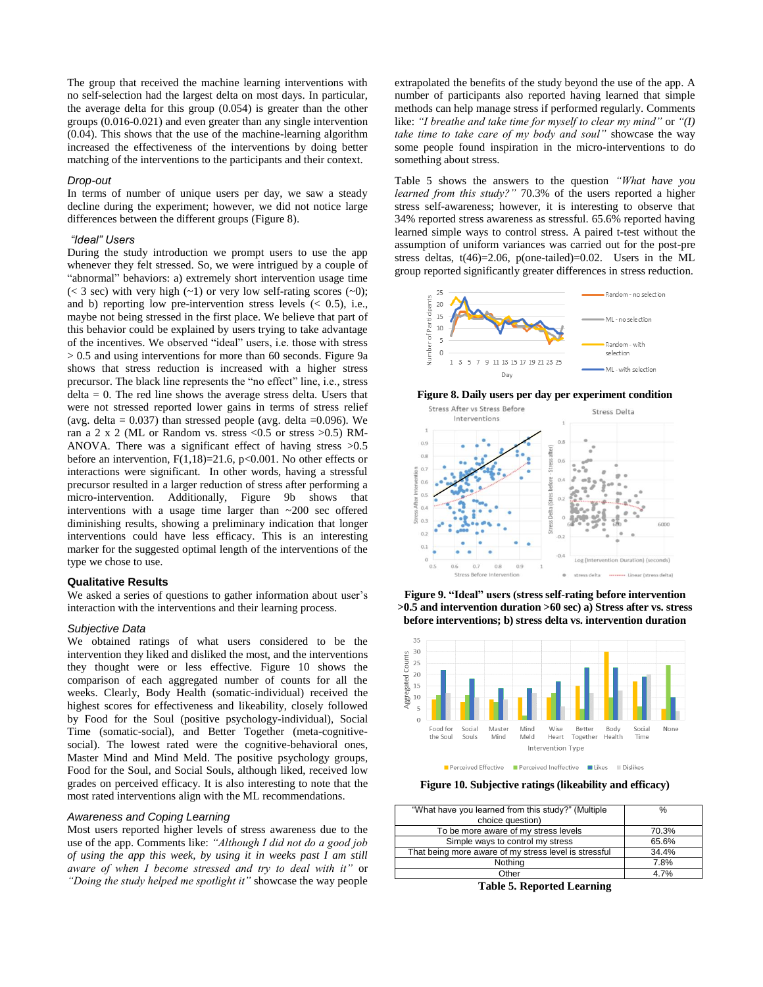The group that received the machine learning interventions with no self-selection had the largest delta on most days. In particular, the average delta for this group (0.054) is greater than the other groups (0.016-0.021) and even greater than any single intervention (0.04). This shows that the use of the machine-learning algorithm increased the effectiveness of the interventions by doing better matching of the interventions to the participants and their context.

#### *Drop-out*

In terms of number of unique users per day, we saw a steady decline during the experiment; however, we did not notice large differences between the different groups (Figure 8).

# *"Ideal" Users*

During the study introduction we prompt users to use the app whenever they felt stressed. So, we were intrigued by a couple of "abnormal" behaviors: a) extremely short intervention usage time  $(< 3 \text{ sec})$  with very high  $(-1)$  or very low self-rating scores  $(-0)$ ; and b) reporting low pre-intervention stress levels  $($   $<$  0.5 $)$ , i.e., maybe not being stressed in the first place. We believe that part of this behavior could be explained by users trying to take advantage of the incentives. We observed "ideal" users, i.e. those with stress > 0.5 and using interventions for more than 60 seconds. Figure 9a shows that stress reduction is increased with a higher stress precursor. The black line represents the "no effect" line, i.e., stress  $delta = 0$ . The red line shows the average stress delta. Users that were not stressed reported lower gains in terms of stress relief (avg. delta =  $0.037$ ) than stressed people (avg. delta =  $0.096$ ). We ran a 2 x 2 (ML or Random vs. stress <0.5 or stress >0.5) RM-ANOVA. There was a significant effect of having stress >0.5 before an intervention,  $F(1,18)=21.6$ ,  $p<0.001$ . No other effects or interactions were significant. In other words, having a stressful precursor resulted in a larger reduction of stress after performing a micro-intervention. Additionally, Figure 9b shows that interventions with a usage time larger than ~200 sec offered diminishing results, showing a preliminary indication that longer interventions could have less efficacy. This is an interesting marker for the suggested optimal length of the interventions of the type we chose to use.

#### **Qualitative Results**

We asked a series of questions to gather information about user's interaction with the interventions and their learning process.

# *Subjective Data*

We obtained ratings of what users considered to be the intervention they liked and disliked the most, and the interventions they thought were or less effective. Figure 10 shows the comparison of each aggregated number of counts for all the weeks. Clearly, Body Health (somatic-individual) received the highest scores for effectiveness and likeability, closely followed by Food for the Soul (positive psychology-individual), Social Time (somatic-social), and Better Together (meta-cognitivesocial). The lowest rated were the cognitive-behavioral ones, Master Mind and Mind Meld. The positive psychology groups, Food for the Soul, and Social Souls, although liked, received low grades on perceived efficacy. It is also interesting to note that the most rated interventions align with the ML recommendations.

# *Awareness and Coping Learning*

Most users reported higher levels of stress awareness due to the use of the app. Comments like: *"Although I did not do a good job of using the app this week, by using it in weeks past I am still aware of when I become stressed and try to deal with it"* or *"Doing the study helped me spotlight it"* showcase the way people

extrapolated the benefits of the study beyond the use of the app. A number of participants also reported having learned that simple methods can help manage stress if performed regularly. Comments like: *"I breathe and take time for myself to clear my mind"* or *"(I) take time to take care of my body and soul"* showcase the way some people found inspiration in the micro-interventions to do something about stress.

Table 5 shows the answers to the question *"What have you learned from this study?"* 70.3% of the users reported a higher stress self-awareness; however, it is interesting to observe that 34% reported stress awareness as stressful. 65.6% reported having learned simple ways to control stress. A paired t-test without the assumption of uniform variances was carried out for the post-pre stress deltas, t(46)=2.06, p(one-tailed)=0.02. Users in the ML group reported significantly greater differences in stress reduction.



#### **Figure 8. Daily users per day per experiment condition**







Perceived Effective Perceived Ineffective Likes III Dislikes

**Figure 10. Subjective ratings (likeability and efficacy)**

| "What have you learned from this study?" (Multiple                                    | %     |  |  |  |
|---------------------------------------------------------------------------------------|-------|--|--|--|
| choice question)                                                                      |       |  |  |  |
| To be more aware of my stress levels                                                  | 70.3% |  |  |  |
| Simple ways to control my stress                                                      | 65.6% |  |  |  |
| That being more aware of my stress level is stressful                                 | 34.4% |  |  |  |
| Nothing                                                                               | 7.8%  |  |  |  |
| Other                                                                                 | 4.7%  |  |  |  |
| $\mathbf{m}$ . Lie $\mathbf{r}$ is the set of $\mathbf{r}$ is the set of $\mathbf{r}$ |       |  |  |  |

**Table 5. Reported Learning**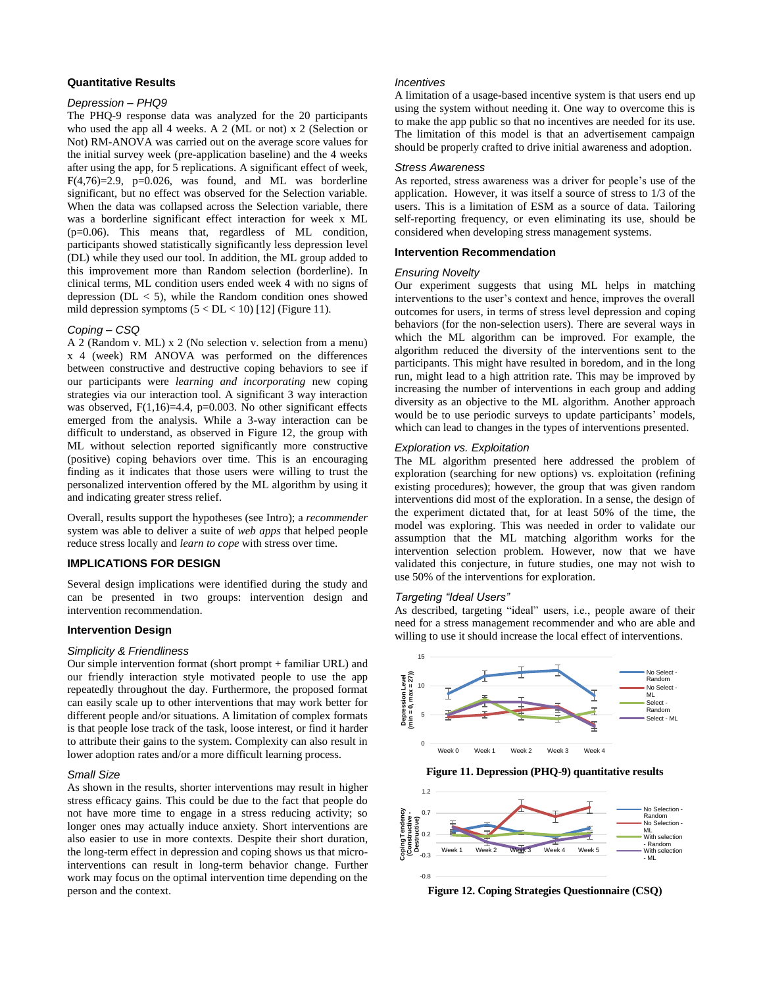#### **Quantitative Results**

# *Depression – PHQ9*

The PHQ-9 response data was analyzed for the 20 participants who used the app all 4 weeks. A 2 (ML or not) x 2 (Selection or Not) RM-ANOVA was carried out on the average score values for the initial survey week (pre-application baseline) and the 4 weeks after using the app, for 5 replications. A significant effect of week,  $F(4,76)=2.9$ ,  $p=0.026$ , was found, and ML was borderline significant, but no effect was observed for the Selection variable. When the data was collapsed across the Selection variable, there was a borderline significant effect interaction for week x ML (p=0.06). This means that, regardless of ML condition, participants showed statistically significantly less depression level (DL) while they used our tool. In addition, the ML group added to this improvement more than Random selection (borderline). In clinical terms, ML condition users ended week 4 with no signs of depression ( $DL < 5$ ), while the Random condition ones showed mild depression symptoms  $(5 < DL < 10)$  [12] (Figure 11).

#### *Coping – CSQ*

A 2 (Random v. ML) x 2 (No selection v. selection from a menu) x 4 (week) RM ANOVA was performed on the differences between constructive and destructive coping behaviors to see if our participants were *learning and incorporating* new coping strategies via our interaction tool. A significant 3 way interaction was observed,  $F(1,16)=4.4$ ,  $p=0.003$ . No other significant effects emerged from the analysis. While a 3-way interaction can be difficult to understand, as observed in Figure 12, the group with ML without selection reported significantly more constructive (positive) coping behaviors over time. This is an encouraging finding as it indicates that those users were willing to trust the personalized intervention offered by the ML algorithm by using it and indicating greater stress relief.

Overall, results support the hypotheses (see Intro); a *recommender* system was able to deliver a suite of *web apps* that helped people reduce stress locally and *learn to cope* with stress over time.

# **IMPLICATIONS FOR DESIGN**

Several design implications were identified during the study and can be presented in two groups: intervention design and intervention recommendation.

## **Intervention Design**

#### *Simplicity & Friendliness*

Our simple intervention format (short prompt + familiar URL) and our friendly interaction style motivated people to use the app repeatedly throughout the day. Furthermore, the proposed format can easily scale up to other interventions that may work better for different people and/or situations. A limitation of complex formats is that people lose track of the task, loose interest, or find it harder to attribute their gains to the system. Complexity can also result in lower adoption rates and/or a more difficult learning process.

## *Small Size*

As shown in the results, shorter interventions may result in higher stress efficacy gains. This could be due to the fact that people do not have more time to engage in a stress reducing activity; so longer ones may actually induce anxiety. Short interventions are also easier to use in more contexts. Despite their short duration, the long-term effect in depression and coping shows us that microinterventions can result in long-term behavior change. Further work may focus on the optimal intervention time depending on the person and the context.

# *Incentives*

A limitation of a usage-based incentive system is that users end up using the system without needing it. One way to overcome this is to make the app public so that no incentives are needed for its use. The limitation of this model is that an advertisement campaign should be properly crafted to drive initial awareness and adoption.

### *Stress Awareness*

As reported, stress awareness was a driver for people's use of the application. However, it was itself a source of stress to 1/3 of the users. This is a limitation of ESM as a source of data. Tailoring self-reporting frequency, or even eliminating its use, should be considered when developing stress management systems.

# **Intervention Recommendation**

## *Ensuring Novelty*

Our experiment suggests that using ML helps in matching interventions to the user's context and hence, improves the overall outcomes for users, in terms of stress level depression and coping behaviors (for the non-selection users). There are several ways in which the ML algorithm can be improved. For example, the algorithm reduced the diversity of the interventions sent to the participants. This might have resulted in boredom, and in the long run, might lead to a high attrition rate. This may be improved by increasing the number of interventions in each group and adding diversity as an objective to the ML algorithm. Another approach would be to use periodic surveys to update participants' models, which can lead to changes in the types of interventions presented.

# *Exploration vs. Exploitation*

The ML algorithm presented here addressed the problem of exploration (searching for new options) vs. exploitation (refining existing procedures); however, the group that was given random interventions did most of the exploration. In a sense, the design of the experiment dictated that, for at least 50% of the time, the model was exploring. This was needed in order to validate our assumption that the ML matching algorithm works for the intervention selection problem. However, now that we have validated this conjecture, in future studies, one may not wish to use 50% of the interventions for exploration.

# *Targeting "Ideal Users"*

As described, targeting "ideal" users, i.e., people aware of their need for a stress management recommender and who are able and willing to use it should increase the local effect of interventions.



**Figure 11. Depression (PHQ-9) quantitative results**



**Figure 12. Coping Strategies Questionnaire (CSQ)**